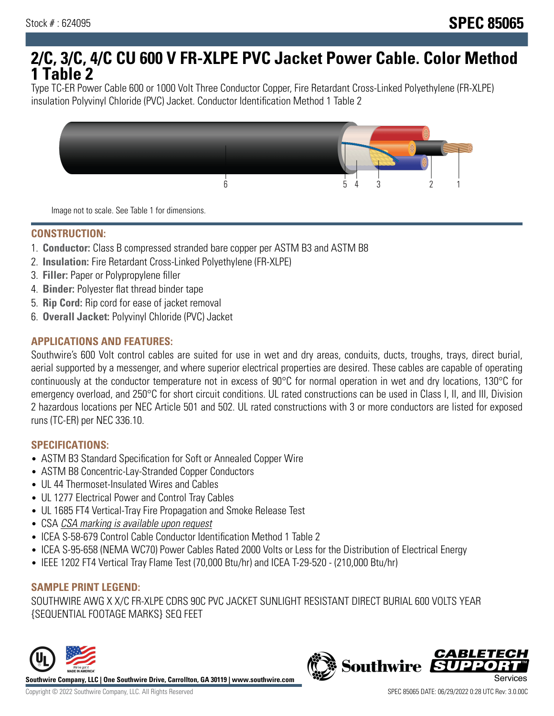# **2/C, 3/C, 4/C CU 600 V FR-XLPE PVC Jacket Power Cable. Color Method 1 Table 2**

Type TC-ER Power Cable 600 or 1000 Volt Three Conductor Copper, Fire Retardant Cross-Linked Polyethylene (FR-XLPE) insulation Polyvinyl Chloride (PVC) Jacket. Conductor Identification Method 1 Table 2



Image not to scale. See Table 1 for dimensions.

#### **CONSTRUCTION:**

- 1. **Conductor:** Class B compressed stranded bare copper per ASTM B3 and ASTM B8
- 2. **Insulation:** Fire Retardant Cross-Linked Polyethylene (FR-XLPE)
- 3. **Filler:** Paper or Polypropylene filler
- 4. **Binder:** Polyester flat thread binder tape
- 5. **Rip Cord:** Rip cord for ease of jacket removal
- 6. **Overall Jacket:** Polyvinyl Chloride (PVC) Jacket

### **APPLICATIONS AND FEATURES:**

Southwire's 600 Volt control cables are suited for use in wet and dry areas, conduits, ducts, troughs, trays, direct burial, aerial supported by a messenger, and where superior electrical properties are desired. These cables are capable of operating continuously at the conductor temperature not in excess of 90°C for normal operation in wet and dry locations, 130°C for emergency overload, and 250°C for short circuit conditions. UL rated constructions can be used in Class I, II, and III, Division 2 hazardous locations per NEC Article 501 and 502. UL rated constructions with 3 or more conductors are listed for exposed runs (TC-ER) per NEC 336.10.

#### **SPECIFICATIONS:**

- ASTM B3 Standard Specification for Soft or Annealed Copper Wire
- ASTM B8 Concentric-Lay-Stranded Copper Conductors
- UL 44 Thermoset-Insulated Wires and Cables
- UL 1277 Electrical Power and Control Tray Cables
- UL 1685 FT4 Vertical-Tray Fire Propagation and Smoke Release Test
- CSA CSA marking is available upon request
- ICEA S-58-679 Control Cable Conductor Identification Method 1 Table 2
- ICEA S-95-658 (NEMA WC70) Power Cables Rated 2000 Volts or Less for the Distribution of Electrical Energy
- IEEE 1202 FT4 Vertical Tray Flame Test (70,000 Btu/hr) and ICEA T-29-520 (210,000 Btu/hr)

#### **SAMPLE PRINT LEGEND:**

SOUTHWIRE AWG X X/C FR-XLPE CDRS 90C PVC JACKET SUNLIGHT RESISTANT DIRECT BURIAL 600 VOLTS YEAR {SEQUENTIAL FOOTAGE MARKS} SEQ FEET